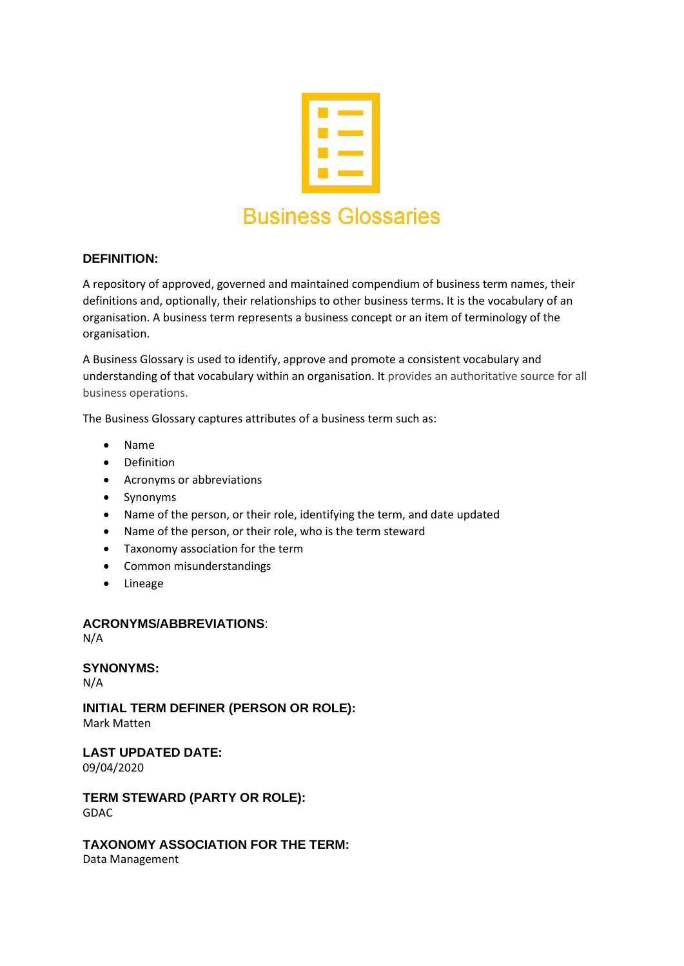

# **DEFINITION:**

A repository of approved, governed and maintained compendium of business term names, their definitions and, optionally, their relationships to other business terms. It is the vocabulary of an organisation. A business term represents a business concept or an item of terminology of the organisation.

A Business Glossary is used to identify, approve and promote a consistent vocabulary and understanding of that vocabulary within an organisation. It provides an authoritative source for all business operations.

The Business Glossary captures attributes of a business term such as:

- Name
- Definition
- Acronyms or abbreviations
- Synonyms
- Name of the person, or their role, identifying the term, and date updated
- Name of the person, or their role, who is the term steward
- Taxonomy association for the term
- Common misunderstandings
- Lineage

### **ACRONYMS/ABBREVIATIONS**:

N/A

# **SYNONYMS:**

N/A

**INITIAL TERM DEFINER (PERSON OR ROLE):** Mark Matten

**LAST UPDATED DATE:**

09/04/2020

**TERM STEWARD (PARTY OR ROLE):** GDAC

**TAXONOMY ASSOCIATION FOR THE TERM:**

Data Management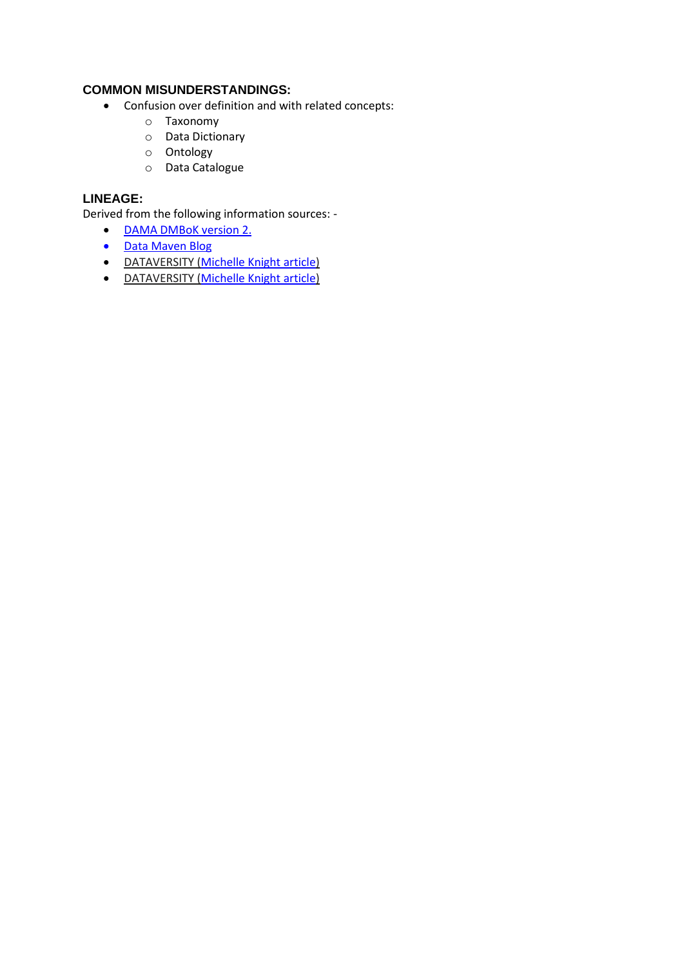# **COMMON MISUNDERSTANDINGS:**

- Confusion over definition and with related concepts:
	- o Taxonomy
	- o Data Dictionary
	- o Ontology
	- o Data Catalogue

### **LINEAGE:**

- [DAMA DMBoK version 2.](https://dama.org/content/body-knowledge)
- [Data Maven Blog](https://thedatamaven.net/2017/04/whats-the-difference-glossary-dictionary-taxonomy-ontology/)
- DATAVERSITY [\(Michelle Knight article\)](https://www.dataversity.net/what-is-a-business-glossary/)
- DATAVERSITY [\(Michelle Knight article\)](https://www.dataversity.net/business-glossary-basics/)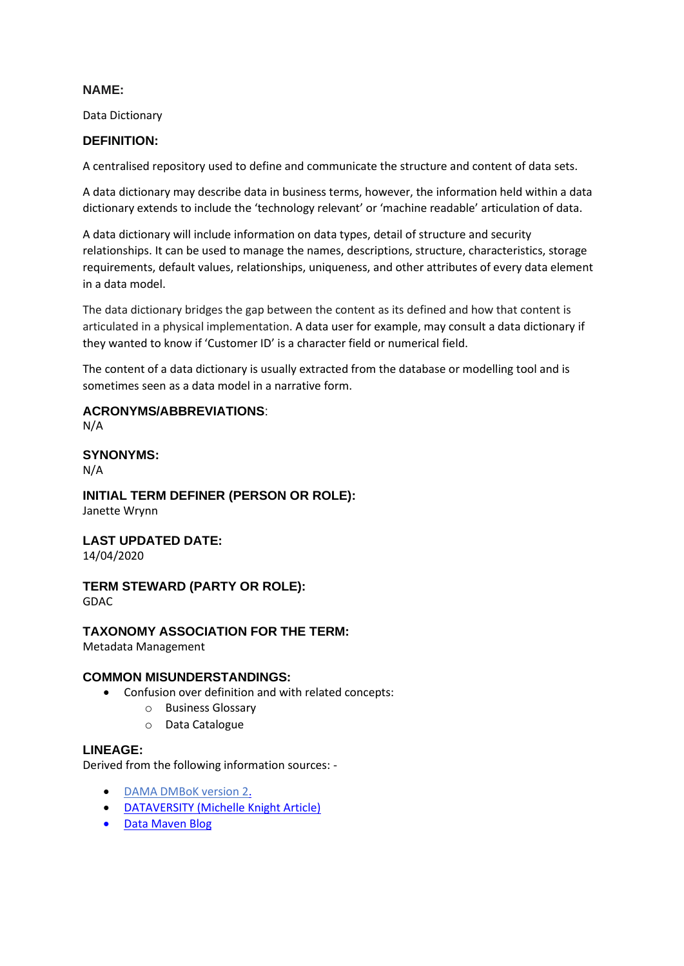Data Dictionary

### **DEFINITION:**

A centralised repository used to define and communicate the structure and content of data sets.

A data dictionary may describe data in business terms, however, the information held within a data dictionary extends to include the 'technology relevant' or 'machine readable' articulation of data.

A data dictionary will include information on data types, detail of structure and security relationships. It can be used to manage the names, descriptions, structure, characteristics, storage requirements, default values, relationships, uniqueness, and other attributes of every data element in a data model.

The data dictionary bridges the gap between the content as its defined and how that content is articulated in a physical implementation. A data user for example, may consult a data dictionary if they wanted to know if 'Customer ID' is a character field or numerical field.

The content of a data dictionary is usually extracted from the database or modelling tool and is sometimes seen as a data model in a narrative form.

**ACRONYMS/ABBREVIATIONS**: N/A

**SYNONYMS:**

N/A

**INITIAL TERM DEFINER (PERSON OR ROLE):** Janette Wrynn

**LAST UPDATED DATE:**

14/04/2020

**TERM STEWARD (PARTY OR ROLE):** GDAC

### **TAXONOMY ASSOCIATION FOR THE TERM:**

Metadata Management

### **COMMON MISUNDERSTANDINGS:**

- Confusion over definition and with related concepts:
	- o Business Glossary
	- o Data Catalogue

### **LINEAGE:**

- [DAMA DMBoK version 2.](https://dama.org/content/body-knowledge)
- [DATAVERSITY \(Michelle Knight Article\)](https://www.dataversity.net/author/michelle-knight/)
- [Data Maven Blog](https://thedatamaven.net/2017/04/whats-the-difference-glossary-dictionary-taxonomy-ontology/)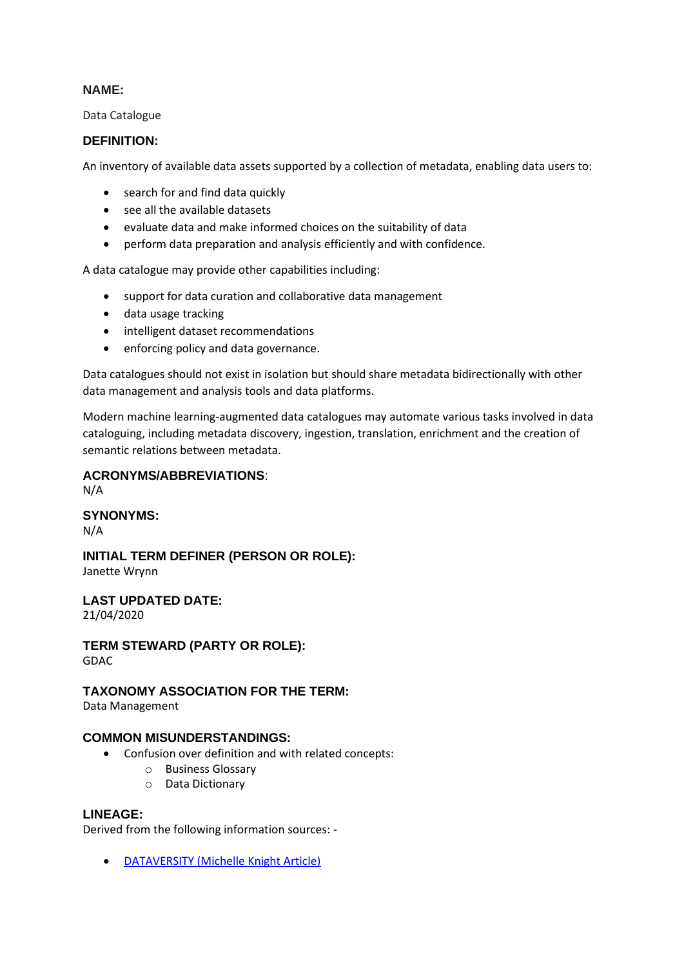Data Catalogue

### **DEFINITION:**

An inventory of available data assets supported by a collection of metadata, enabling data users to:

- search for and find data quickly
- see all the available datasets
- evaluate data and make informed choices on the suitability of data
- perform data preparation and analysis efficiently and with confidence.

A data catalogue may provide other capabilities including:

- support for data curation and collaborative data management
- data usage tracking
- intelligent dataset recommendations
- enforcing policy and data governance.

Data catalogues should not exist in isolation but should share metadata bidirectionally with other data management and analysis tools and data platforms.

Modern machine learning-augmented data catalogues may automate various tasks involved in data cataloguing, including metadata discovery, ingestion, translation, enrichment and the creation of semantic relations between metadata.

### **ACRONYMS/ABBREVIATIONS**:

N/A

### **SYNONYMS:**

N/A

# **INITIAL TERM DEFINER (PERSON OR ROLE):**

Janette Wrynn

## **LAST UPDATED DATE:**

21/04/2020

**TERM STEWARD (PARTY OR ROLE):** GDAC

### **TAXONOMY ASSOCIATION FOR THE TERM:**

Data Management

### **COMMON MISUNDERSTANDINGS:**

- Confusion over definition and with related concepts:
	- o Business Glossary
	- o Data Dictionary

### **LINEAGE:**

Derived from the following information sources: -

• [DATAVERSITY \(Michelle Knight Article\)](https://www.dataversity.net/what-is-a-data-catalog/)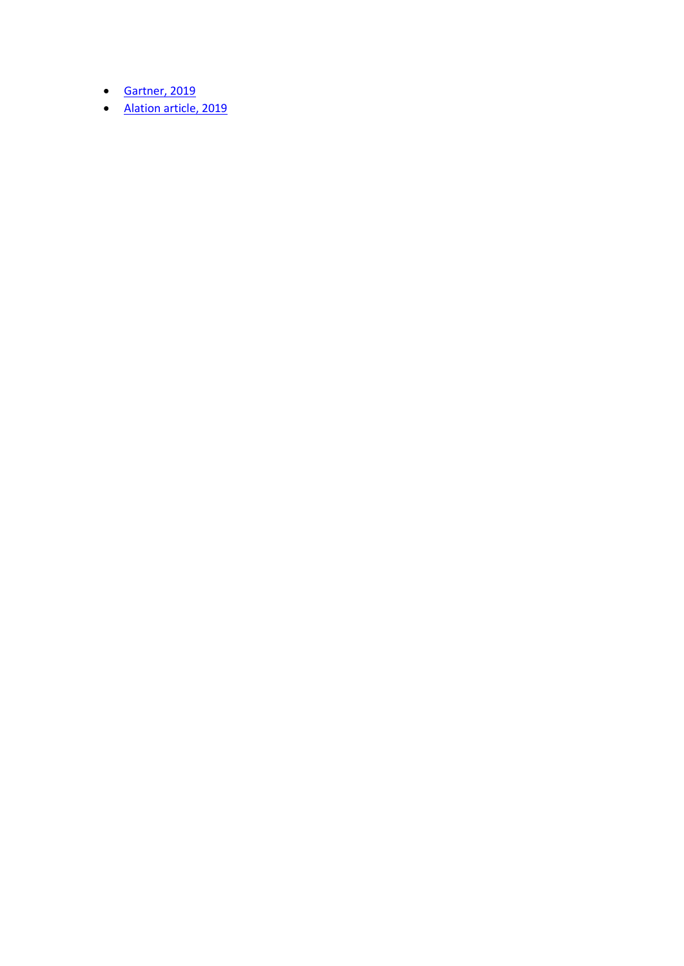- [Gartner, 2019](https://alation.com/gartner-data-catalogs-must-have/?utm_source=google&utm_medium=adwords&utm_campaign=data_catalogs&utm_source=adwords&utm_medium=ppc&utm_campaign=Data+Catalog&utm_term=data%20catalog&hsa_net=adwords&hsa_mt=p&hsa_tgt=kwd-1253084802&hsa_cam=302046018&hsa_ver=3&hsa_grp=75303002581&hsa_acc=5515919153&hsa_src=g&hsa_kw=data%20catalog&hsa_ad=384367139164)
- [Alation article, 2019](https://www.alation.com/blog/what-is-a-data-catalog/)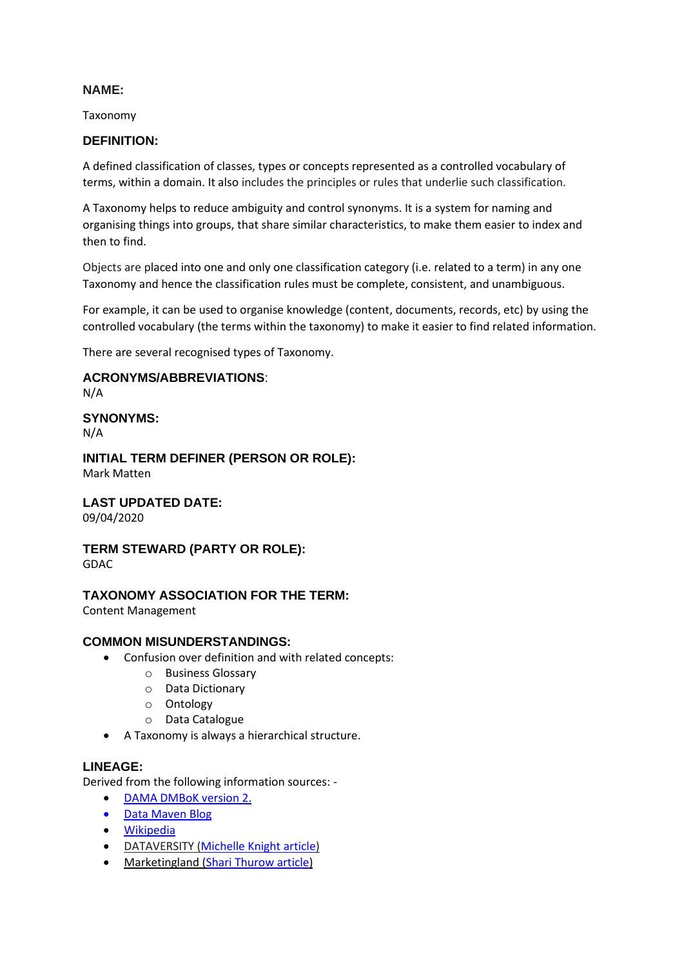Taxonomy

### **DEFINITION:**

A defined classification of classes, types or concepts represented as a controlled vocabulary of terms, within a domain. It also includes the principles or rules that underlie such classification.

A Taxonomy helps to reduce ambiguity and control synonyms. It is a system for naming and organising things into groups, that share similar characteristics, to make them easier to index and then to find.

Objects are placed into one and only one classification category (i.e. related to a term) in any one Taxonomy and hence the classification rules must be complete, consistent, and unambiguous.

For example, it can be used to organise knowledge (content, documents, records, etc) by using the controlled vocabulary (the terms within the taxonomy) to make it easier to find related information.

There are several recognised types of Taxonomy.

### **ACRONYMS/ABBREVIATIONS**:

N/A

# **SYNONYMS:**

N/A

#### **INITIAL TERM DEFINER (PERSON OR ROLE):** Mark Matten

### **LAST UPDATED DATE:**

09/04/2020

#### **TERM STEWARD (PARTY OR ROLE):** GDAC

### **TAXONOMY ASSOCIATION FOR THE TERM:**

Content Management

### **COMMON MISUNDERSTANDINGS:**

- Confusion over definition and with related concepts:
	- o Business Glossary
	- o Data Dictionary
	- o Ontology
	- o Data Catalogue
- A Taxonomy is always a hierarchical structure.

### **LINEAGE:**

- [DAMA DMBoK version 2.](https://dama.org/content/body-knowledge)
- [Data Maven Blog](https://thedatamaven.net/2017/04/whats-the-difference-glossary-dictionary-taxonomy-ontology/)
- [Wikipedia](https://en.wikipedia.org/wiki/Taxonomy)
- DATAVERSITY [\(Michelle Knight article\)](https://www.dataversity.net/what-is-taxonomy/)
- Marketingland [\(Shari Thurow article\)](https://marketingland.com/website-taxonomy-guidelines-tips-127706)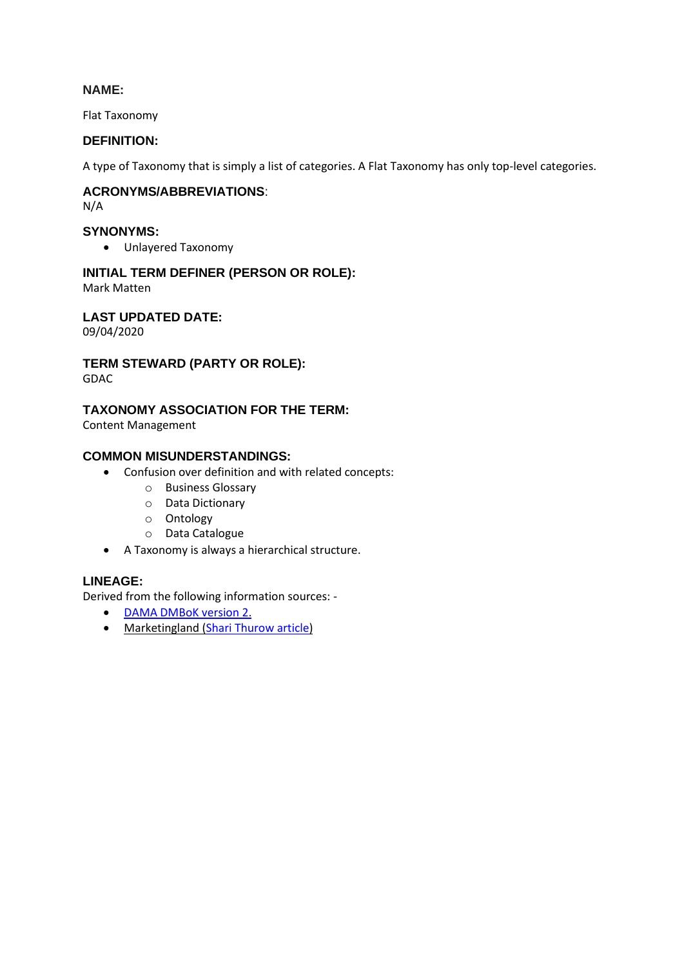Flat Taxonomy

### **DEFINITION:**

A type of Taxonomy that is simply a list of categories. A Flat Taxonomy has only top-level categories.

## **ACRONYMS/ABBREVIATIONS**:

N/A

### **SYNONYMS:**

• Unlayered Taxonomy

# **INITIAL TERM DEFINER (PERSON OR ROLE):**

Mark Matten

**LAST UPDATED DATE:**

09/04/2020

# **TERM STEWARD (PARTY OR ROLE):**

GDAC

# **TAXONOMY ASSOCIATION FOR THE TERM:**

Content Management

### **COMMON MISUNDERSTANDINGS:**

- Confusion over definition and with related concepts:
	- o Business Glossary
	- o Data Dictionary
	- o Ontology
	- o Data Catalogue
- A Taxonomy is always a hierarchical structure.

### **LINEAGE:**

- [DAMA DMBoK version 2.](https://dama.org/content/body-knowledge)
- Marketingland [\(Shari Thurow article\)](https://marketingland.com/website-taxonomy-guidelines-tips-127706)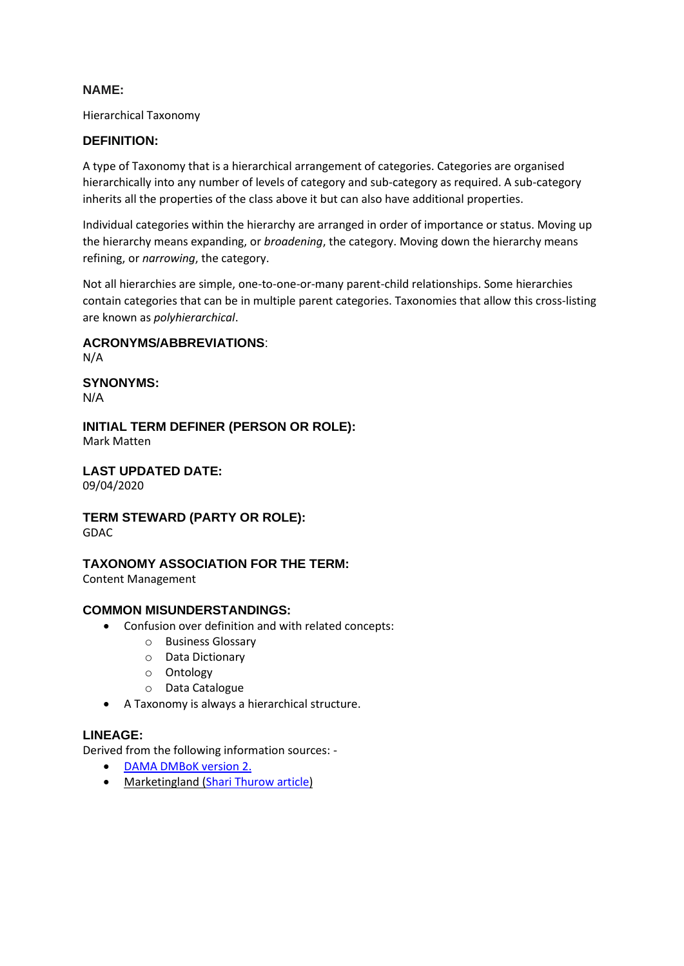Hierarchical Taxonomy

### **DEFINITION:**

A type of Taxonomy that is a hierarchical arrangement of categories. Categories are organised hierarchically into any number of levels of category and sub-category as required. A sub-category inherits all the properties of the class above it but can also have additional properties.

Individual categories within the hierarchy are arranged in order of importance or status. Moving up the hierarchy means expanding, or *broadening*, the category. Moving down the hierarchy means refining, or *narrowing*, the category.

Not all hierarchies are simple, one-to-one-or-many parent-child relationships. Some hierarchies contain categories that can be in multiple parent categories. Taxonomies that allow this cross-listing are known as *polyhierarchical*.

**ACRONYMS/ABBREVIATIONS**:

N/A

**SYNONYMS:** N/A

**INITIAL TERM DEFINER (PERSON OR ROLE):** Mark Matten

**LAST UPDATED DATE:** 09/04/2020

**TERM STEWARD (PARTY OR ROLE):** GDAC

### **TAXONOMY ASSOCIATION FOR THE TERM:**

Content Management

### **COMMON MISUNDERSTANDINGS:**

- Confusion over definition and with related concepts:
	- o Business Glossary
	- o Data Dictionary
	- o Ontology
	- o Data Catalogue
- A Taxonomy is always a hierarchical structure.

### **LINEAGE:**

- [DAMA DMBoK version 2.](https://dama.org/content/body-knowledge)
- Marketingland [\(Shari Thurow article\)](https://marketingland.com/website-taxonomy-guidelines-tips-127706)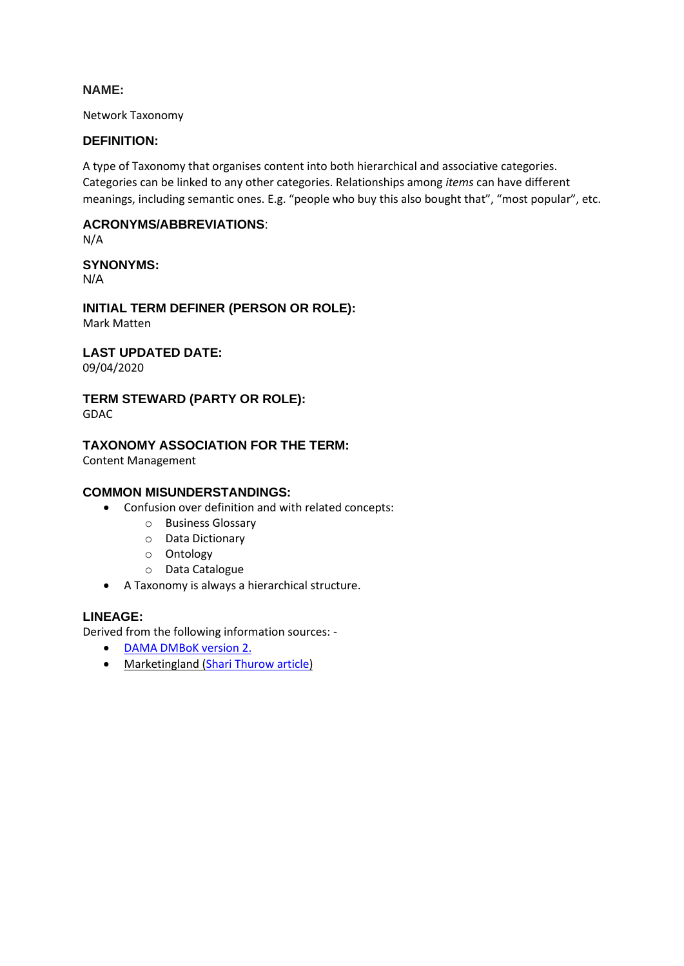Network Taxonomy

### **DEFINITION:**

A type of Taxonomy that organises content into both hierarchical and associative categories. Categories can be linked to any other categories. Relationships among *items* can have different meanings, including semantic ones. E.g. "people who buy this also bought that", "most popular", etc.

# **ACRONYMS/ABBREVIATIONS**:

N/A

# **SYNONYMS:**

N/A

**INITIAL TERM DEFINER (PERSON OR ROLE):** Mark Matten

# **LAST UPDATED DATE:**

09/04/2020

# **TERM STEWARD (PARTY OR ROLE):**

GDAC

# **TAXONOMY ASSOCIATION FOR THE TERM:**

Content Management

### **COMMON MISUNDERSTANDINGS:**

- Confusion over definition and with related concepts:
	- o Business Glossary
	- o Data Dictionary
	- o Ontology
	- o Data Catalogue
- A Taxonomy is always a hierarchical structure.

### **LINEAGE:**

- [DAMA DMBoK version 2.](https://dama.org/content/body-knowledge)
- Marketingland [\(Shari Thurow article\)](https://marketingland.com/website-taxonomy-guidelines-tips-127706)